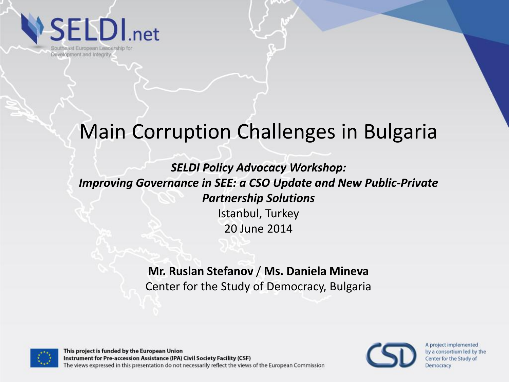**SELDI**.net

Southeast European Leadership for Development and Integrity

#### Main Corruption Challenges in Bulgaria

*SELDI Policy Advocacy Workshop: Improving Governance in SEE: a CSO Update and New Public-Private Partnership Solutions*  Istanbul, Turkey 20 June 2014

> **Mr. Ruslan Stefanov** / **Ms. Daniela Mineva** Center for the Study of Democracy, Bulgaria



This project is funded by the European Union Instrument for Pre-accession Assistance (IPA) Civil Society Facility (CSF) The views expressed in this presentation do not necessarily reflect the views of the European Commission

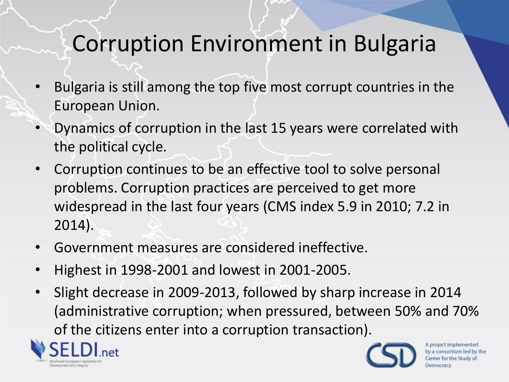### Corruption Environment in Bulgaria

- Bulgaria is still among the top five most corrupt countries in the European Union.
- Dynamics of corruption in the last 15 years were correlated with the political cycle.
- Corruption continues to be an effective tool to solve personal problems. Corruption practices are perceived to get more widespread in the last four years (CMS index 5.9 in 2010; 7.2 in 2014).
- Government measures are considered ineffective.
- Highest in 1998-2001 and lowest in 2001-2005.
- Slight decrease in 2009-2013, followed by sharp increase in 2014 (administrative corruption; when pressured, between 50% and 70% of the citizens enter into a corruption transaction).



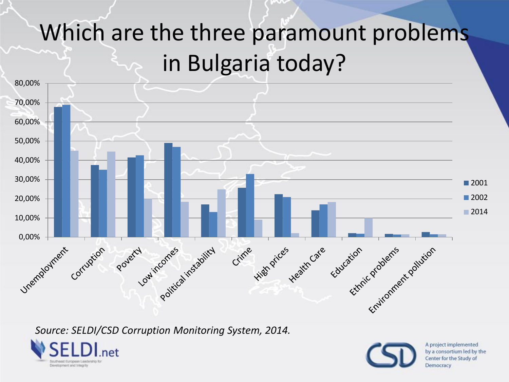## Which are the three paramount problems in Bulgaria today?



*Source: SELDI/CSD Corruption Monitoring System, 2014.*

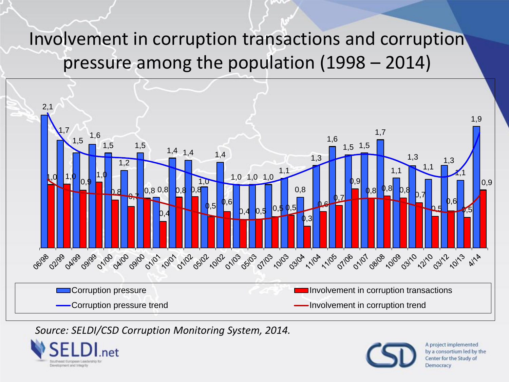#### Involvement in corruption transactions and corruption pressure among the population (1998 – 2014)



#### *Source: SELDI/CSD Corruption Monitoring System, 2014.*



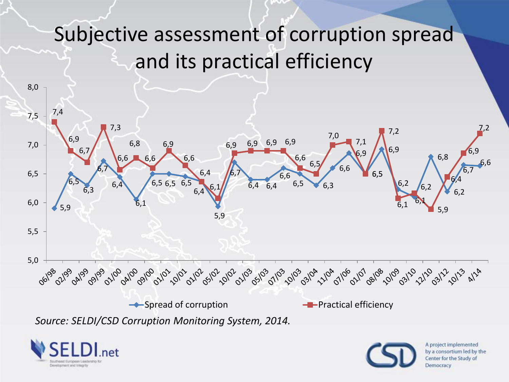### Subjective assessment of corruption spread and its practical efficiency



*Source: SELDI/CSD Corruption Monitoring System, 2014.*



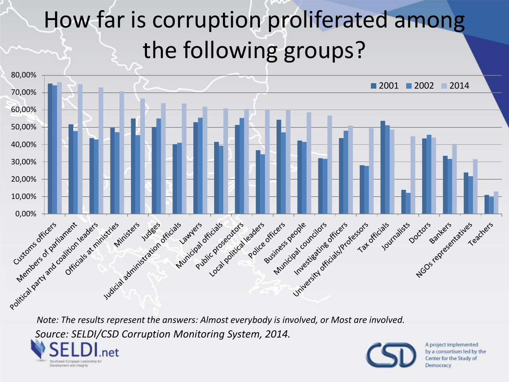# How far is corruption proliferated among the following groups?



*Source: SELDI/CSD Corruption Monitoring System, 2014.*



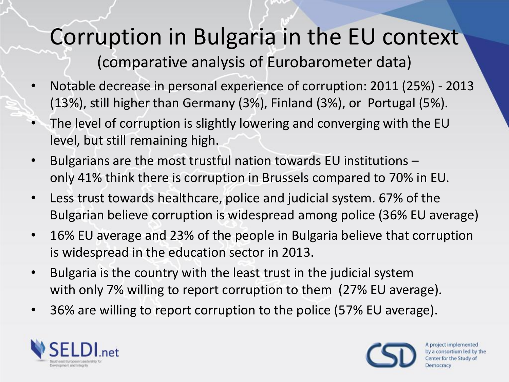## Corruption in Bulgaria in the EU context

(comparative analysis of Eurobarometer data)

- Notable decrease in personal experience of corruption: 2011 (25%) 2013 (13%), still higher than Germany (3%), Finland (3%), or Portugal (5%).
- The level of corruption is slightly lowering and converging with the EU level, but still remaining high.
- Bulgarians are the most trustful nation towards EU institutions only 41% think there is corruption in Brussels compared to 70% in EU.
- Less trust towards healthcare, police and judicial system. 67% of the Bulgarian believe corruption is widespread among police (36% EU average)
- 16% EU average and 23% of the people in Bulgaria believe that corruption is widespread in the education sector in 2013.
- Bulgaria is the country with the least trust in the judicial system with only 7% willing to report corruption to them (27% EU average).
- 36% are willing to report corruption to the police (57% EU average).



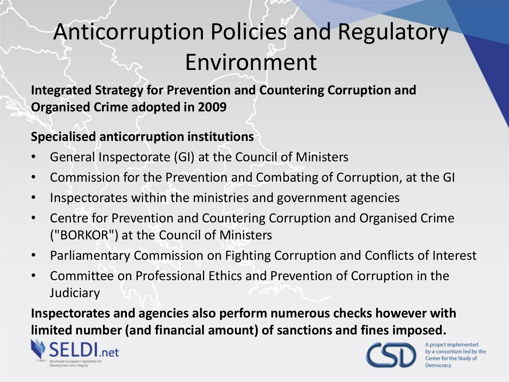## Anticorruption Policies and Regulatory Environment

**Integrated Strategy for Prevention and Countering Corruption and Organised Crime adopted in 2009** 

#### **Specialised anticorruption institutions**

- General Inspectorate (GI) at the Council of Ministers
- Commission for the Prevention and Combating of Corruption, at the GI
- Inspectorates within the ministries and government agencies
- Centre for Prevention and Countering Corruption and Organised Crime ("BORKOR") at the Council of Ministers
- Parliamentary Commission on Fighting Corruption and Conflicts of Interest
- Committee on Professional Ethics and Prevention of Corruption in the **Judiciary**

**Inspectorates and agencies also perform numerous checks however with limited number (and financial amount) of sanctions and fines imposed.** 



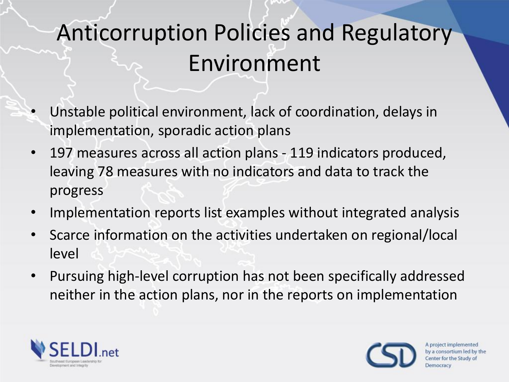## Anticorruption Policies and Regulatory Environment

- Unstable political environment, lack of coordination, delays in implementation, sporadic action plans
- 197 measures across all action plans 119 indicators produced, leaving 78 measures with no indicators and data to track the progress
- Implementation reports list examples without integrated analysis
- Scarce information on the activities undertaken on regional/local level
- Pursuing high-level corruption has not been specifically addressed neither in the action plans, nor in the reports on implementation



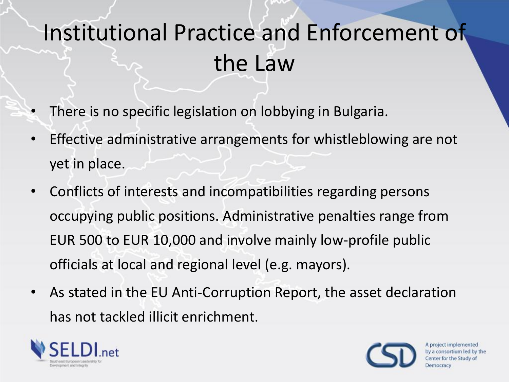# Institutional Practice and Enforcement of the Law

- There is no specific legislation on lobbying in Bulgaria.
- Effective administrative arrangements for whistleblowing are not yet in place.
- Conflicts of interests and incompatibilities regarding persons occupying public positions. Administrative penalties range from EUR 500 to EUR 10,000 and involve mainly low-profile public officials at local and regional level (e.g. mayors).
- As stated in the EU Anti-Corruption Report, the asset declaration has not tackled illicit enrichment.



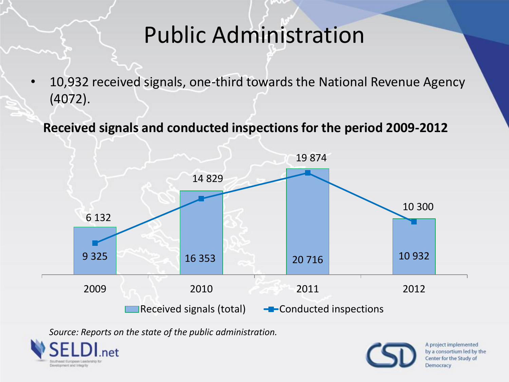### Public Administration

• 10,932 received signals, one-third towards the National Revenue Agency (4072).

#### **Received signals and conducted inspections for the period 2009-2012**



*Source: Reports on the state of the public administration.*



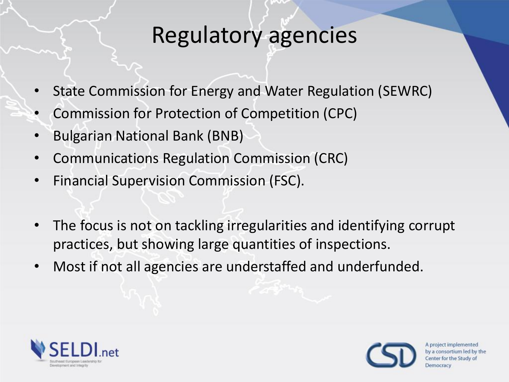#### Regulatory agencies

- State Commission for Energy and Water Regulation (SEWRC)
- Commission for Protection of Competition (CPC)
- Bulgarian National Bank (BNB)
- Communications Regulation Commission (CRC)
- Financial Supervision Commission (FSC).
- The focus is not on tackling irregularities and identifying corrupt practices, but showing large quantities of inspections.
- Most if not all agencies are understaffed and underfunded.



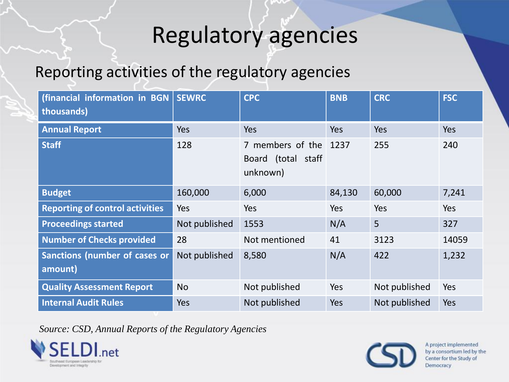## Regulatory agencies

#### Reporting activities of the regulatory agencies

| (financial information in BGN<br>thousands) | <b>SEWRC</b>  | <b>CPC</b>                                              | <b>BNB</b> | <b>CRC</b>    | <b>FSC</b> |
|---------------------------------------------|---------------|---------------------------------------------------------|------------|---------------|------------|
| <b>Annual Report</b>                        | <b>Yes</b>    | <b>Yes</b>                                              | Yes        | Yes           | <b>Yes</b> |
| <b>Staff</b>                                | 128           | 7 members of the 1237<br>Board (total staff<br>unknown) |            | 255           | 240        |
| <b>Budget</b>                               | 160,000       | 6,000                                                   | 84,130     | 60,000        | 7,241      |
| <b>Reporting of control activities</b>      | Yes           | Yes                                                     | Yes        | Yes           | <b>Yes</b> |
| <b>Proceedings started</b>                  | Not published | 1553                                                    | N/A        | 5             | 327        |
| <b>Number of Checks provided</b>            | 28            | Not mentioned                                           | 41         | 3123          | 14059      |
| Sanctions (number of cases or<br>amount)    | Not published | 8,580                                                   | N/A        | 422           | 1,232      |
| <b>Quality Assessment Report</b>            | <b>No</b>     | Not published                                           | Yes        | Not published | Yes        |
| <b>Internal Audit Rules</b>                 | Yes           | Not published                                           | Yes        | Not published | Yes        |

*Source: CSD, Annual Reports of the Regulatory Agencies*



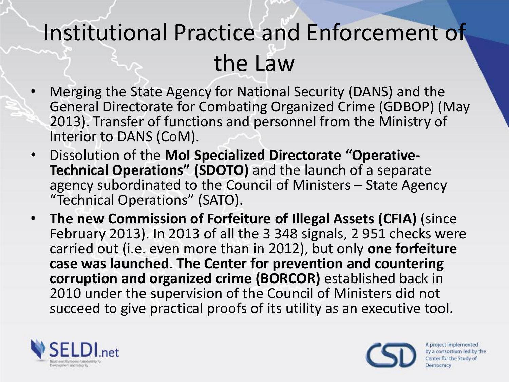## Institutional Practice and Enforcement of the Law

- Merging the State Agency for National Security (DANS) and the General Directorate for Combating Organized Crime (GDBOP) (May 2013). Transfer of functions and personnel from the Ministry of Interior to DANS (CoM).
- Dissolution of the **MoI Specialized Directorate "Operative-Technical Operations" (SDOTO)** and the launch of a separate agency subordinated to the Council of Ministers – State Agency "Technical Operations" (SATO).
- **The new Commission of Forfeiture of Illegal Assets (CFIA)** (since February 2013). In 2013 of all the 3 348 signals, 2 951 checks were carried out (i.e. even more than in 2012), but only **one forfeiture case was launched**. **The Center for prevention and countering corruption and organized crime (BORCOR)** established back in 2010 under the supervision of the Council of Ministers did not succeed to give practical proofs of its utility as an executive tool.



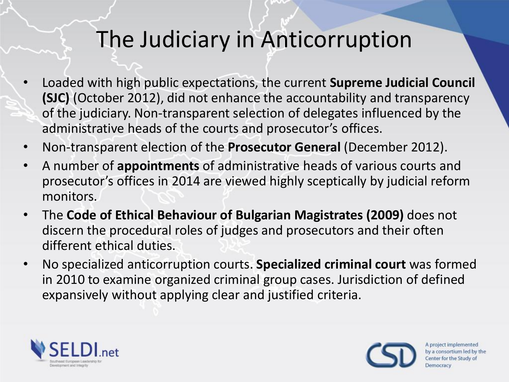### The Judiciary in Anticorruption

- Loaded with high public expectations, the current **Supreme Judicial Council (SJC)** (October 2012), did not enhance the accountability and transparency of the judiciary. Non-transparent selection of delegates influenced by the administrative heads of the courts and prosecutor's offices.
- Non-transparent election of the **Prosecutor General** (December 2012).
- A number of **appointments** of administrative heads of various courts and prosecutor's offices in 2014 are viewed highly sceptically by judicial reform monitors.
- The **Code of Ethical Behaviour of Bulgarian Magistrates (2009)** does not discern the procedural roles of judges and prosecutors and their often different ethical duties.
- No specialized anticorruption courts. **Specialized criminal court** was formed in 2010 to examine organized criminal group cases. Jurisdiction of defined expansively without applying clear and justified criteria.



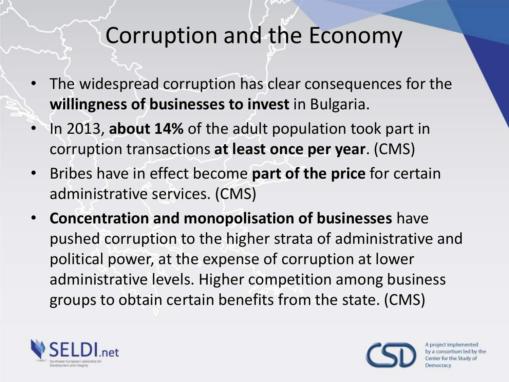- The widespread corruption has clear consequences for the **willingness of businesses to invest** in Bulgaria.
- In 2013, **about 14%** of the adult population took part in corruption transactions **at least once per year**. (CMS)
- Bribes have in effect become **part of the price** for certain administrative services. (CMS)
- **Concentration and monopolisation of businesses** have pushed corruption to the higher strata of administrative and political power, at the expense of corruption at lower administrative levels. Higher competition among business groups to obtain certain benefits from the state. (CMS)



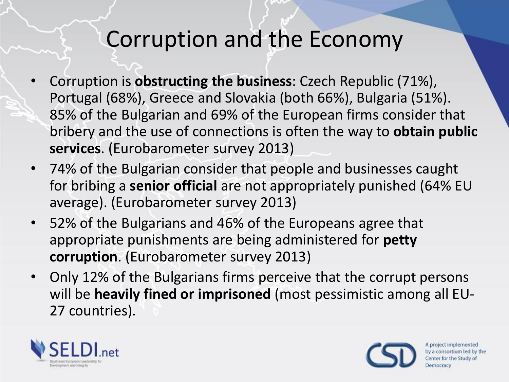- Corruption is **obstructing the business**: Czech Republic (71%), Portugal (68%), Greece and Slovakia (both 66%), Bulgaria (51%). 85% of the Bulgarian and 69% of the European firms consider that bribery and the use of connections is often the way to **obtain public services**. (Eurobarometer survey 2013)
- 74% of the Bulgarian consider that people and businesses caught for bribing a **senior official** are not appropriately punished (64% EU average). (Eurobarometer survey 2013)
- 52% of the Bulgarians and 46% of the Europeans agree that appropriate punishments are being administered for **petty corruption**. (Eurobarometer survey 2013)
- Only 12% of the Bulgarians firms perceive that the corrupt persons will be **heavily fined or imprisoned** (most pessimistic among all EU-27 countries).



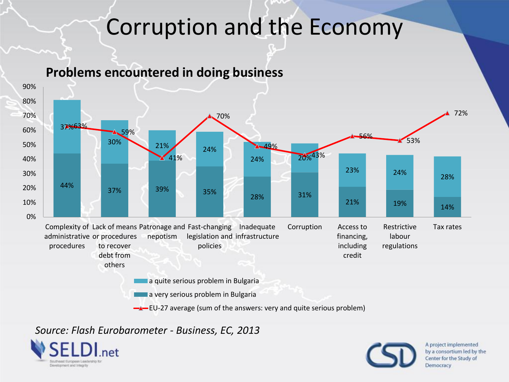#### **Problems encountered in doing business**



 $\rightarrow$  EU-27 average (sum of the answers: very and quite serious problem)

#### *Source: Flash Eurobarometer - Business, EC, 2013*



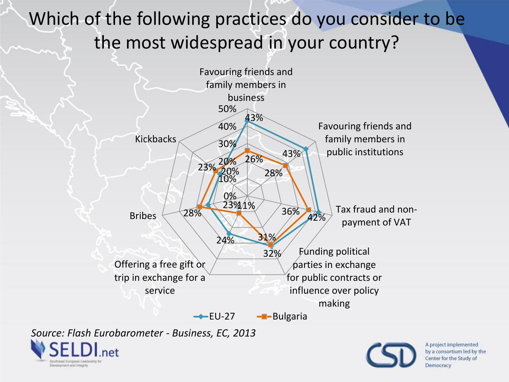#### Which of the following practices do you consider to be the most widespread in your country?



*Source: Flash Eurobarometer - Business, EC, 2013* 



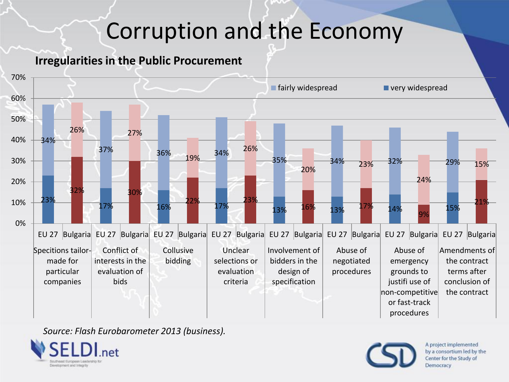#### **Irregularities in the Public Procurement**



*Source: Flash Eurobarometer 2013 (business).*



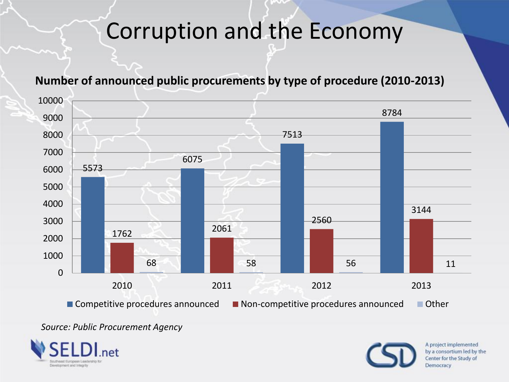

#### **Number of announced public procurements by type of procedure (2010-2013)**

*Source: Public Procurement Agency* 



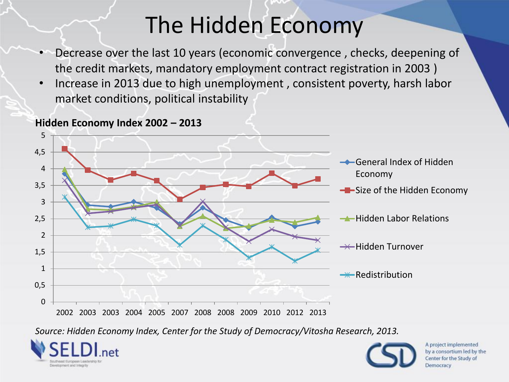## The Hidden Economy

- Decrease over the last 10 years (economic convergence , checks, deepening of the credit markets, mandatory employment contract registration in 2003 )
- Increase in 2013 due to high unemployment , consistent poverty, harsh labor market conditions, political instability



**Hidden Economy Index 2002 – 2013** 

*Source: Hidden Economy Index, Center for the Study of Democracy/Vitosha Research, 2013.*



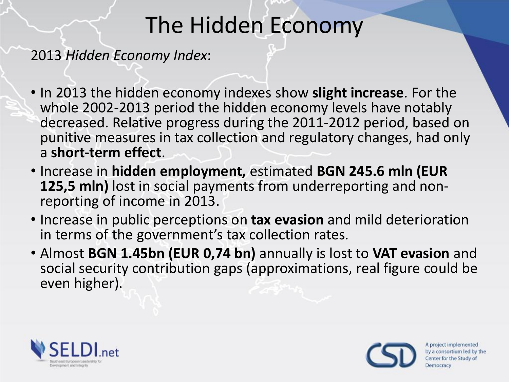## The Hidden Economy

2013 *Hidden Economy Index*:

- In 2013 the hidden economy indexes show **slight increase**. For the whole 2002-2013 period the hidden economy levels have notably decreased. Relative progress during the 2011-2012 period, based on punitive measures in tax collection and regulatory changes, had only a **short-term effect**.
- Increase in **hidden employment,** estimated **BGN 245.6 mln (EUR 125,5 mln)** lost in social payments from underreporting and nonreporting of income in 2013.
- Increase in public perceptions on **tax evasion** and mild deterioration in terms of the government's tax collection rates.
- Almost **BGN 1.45bn (EUR 0,74 bn)** annually is lost to **VAT evasion** and social security contribution gaps (approximations, real figure could be even higher).



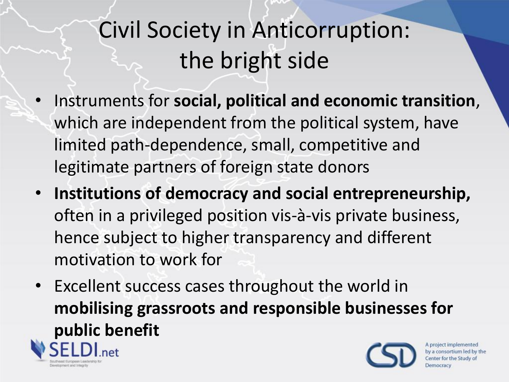# Civil Society in Anticorruption: the bright side

- Instruments for **social, political and economic transition**, which are independent from the political system, have limited path-dependence, small, competitive and legitimate partners of foreign state donors
- **Institutions of democracy and social entrepreneurship,**  often in a privileged position vis-à-vis private business, hence subject to higher transparency and different motivation to work for
- Excellent success cases throughout the world in **mobilising grassroots and responsible businesses for public benefit**A project implemented by a consortium led by the

velopment and Integrity

enter for the Study of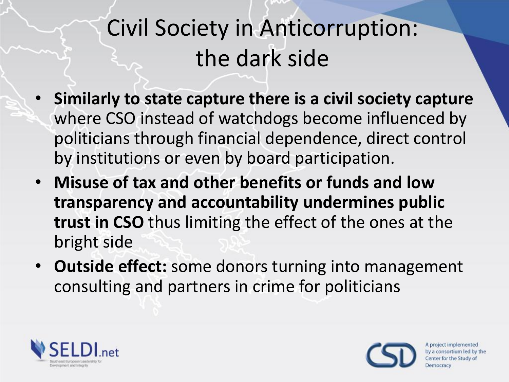## Civil Society in Anticorruption: the dark side

- **Similarly to state capture there is a civil society capture**  where CSO instead of watchdogs become influenced by politicians through financial dependence, direct control by institutions or even by board participation.
- **Misuse of tax and other benefits or funds and low transparency and accountability undermines public trust in CSO** thus limiting the effect of the ones at the bright side
- **Outside effect:** some donors turning into management consulting and partners in crime for politicians



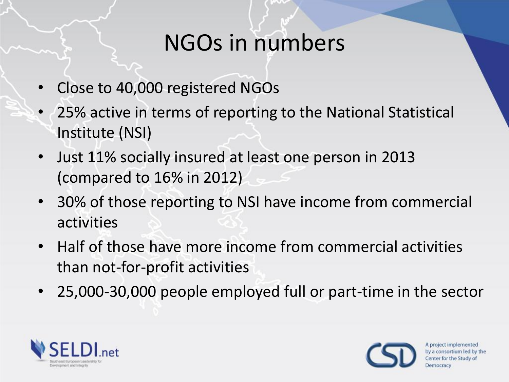#### NGOs in numbers

- Close to 40,000 registered NGOs
- 25% active in terms of reporting to the National Statistical Institute (NSI)
- Just 11% socially insured at least one person in 2013 (compared to 16% in 2012)
- 30% of those reporting to NSI have income from commercial activities
- Half of those have more income from commercial activities than not-for-profit activities
- 25,000-30,000 people employed full or part-time in the sector



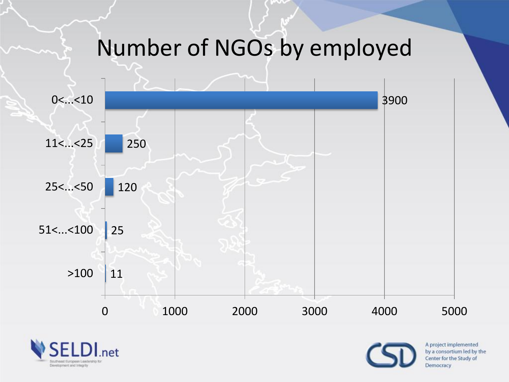### Number of NGOs by employed





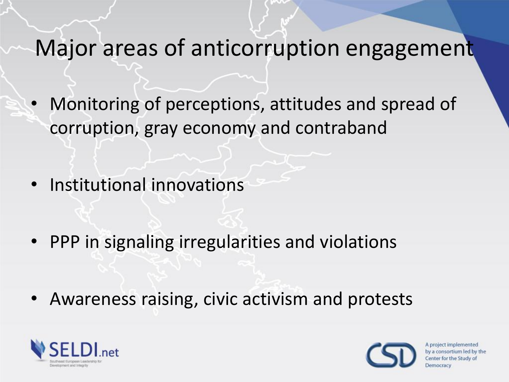#### Major areas of anticorruption engagement

- Monitoring of perceptions, attitudes and spread of corruption, gray economy and contraband
- Institutional innovations
- PPP in signaling irregularities and violations
- Awareness raising, civic activism and protests



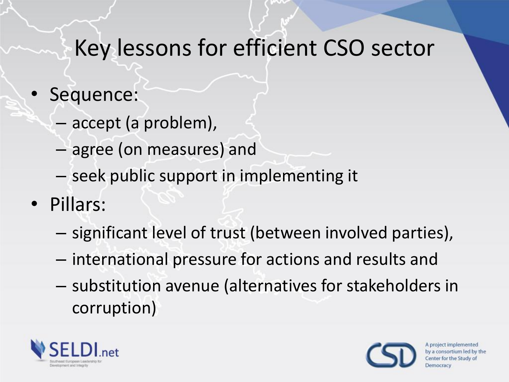#### Key lessons for efficient CSO sector

- Sequence:
	- accept (a problem),
	- agree (on measures) and
	- seek public support in implementing it
- Pillars:
	- significant level of trust (between involved parties),
	- international pressure for actions and results and
	- substitution avenue (alternatives for stakeholders in corruption)



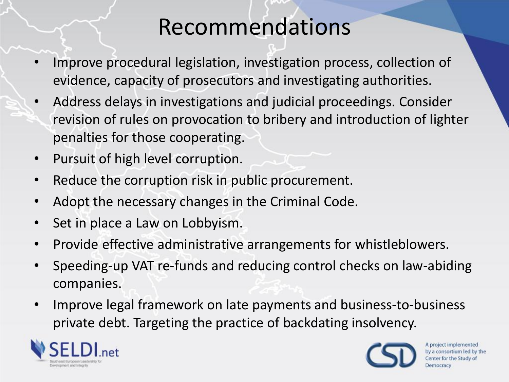#### Recommendations

- Improve procedural legislation, investigation process, collection of evidence, capacity of prosecutors and investigating authorities.
- Address delays in investigations and judicial proceedings. Consider revision of rules on provocation to bribery and introduction of lighter penalties for those cooperating.
- Pursuit of high level corruption.
- Reduce the corruption risk in public procurement.
- Adopt the necessary changes in the Criminal Code.
- Set in place a Law on Lobbyism.
- Provide effective administrative arrangements for whistleblowers.
- Speeding-up VAT re-funds and reducing control checks on law-abiding companies.
- Improve legal framework on late payments and business-to-business private debt. Targeting the practice of backdating insolvency.



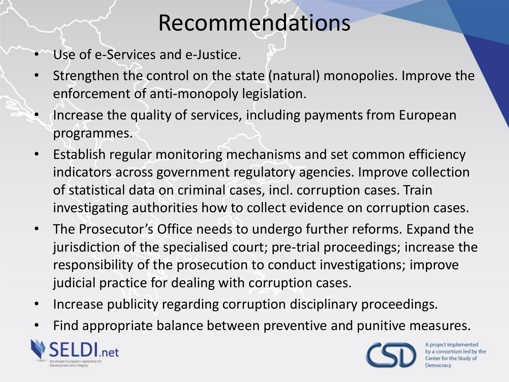### Recommendations

- Use of e-Services and e-Justice.
- Strengthen the control on the state (natural) monopolies. Improve the enforcement of anti-monopoly legislation.
- Increase the quality of services, including payments from European programmes.
- Establish regular monitoring mechanisms and set common efficiency indicators across government regulatory agencies. Improve collection of statistical data on criminal cases, incl. corruption cases. Train investigating authorities how to collect evidence on corruption cases.
- The Prosecutor's Office needs to undergo further reforms. Expand the jurisdiction of the specialised court; pre-trial proceedings; increase the responsibility of the prosecution to conduct investigations; improve judicial practice for dealing with corruption cases.
- Increase publicity regarding corruption disciplinary proceedings.
- Find appropriate balance between preventive and punitive measures.